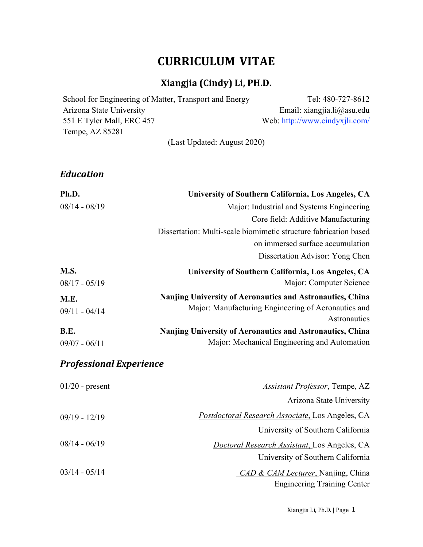# **CURRICULUM VITAE**

# **Xiangjia (Cindy) Li, PH.D.**

| School for Engineering of Matter, Transport and Energy | Tel: 480-727-8612              |
|--------------------------------------------------------|--------------------------------|
| Arizona State University                               | Email: xiangjia.li $@$ asu.edu |
| 551 E Tyler Mall, ERC 457                              | Web: http://www.cindyxjli.com/ |
| Tempe, AZ 85281                                        |                                |
| (Last Updated: August 2020)                            |                                |

*Education*

| Ph.D.                          | University of Southern California, Los Angeles, CA               |
|--------------------------------|------------------------------------------------------------------|
| $08/14 - 08/19$                | Major: Industrial and Systems Engineering                        |
|                                | Core field: Additive Manufacturing                               |
|                                | Dissertation: Multi-scale biomimetic structure fabrication based |
|                                | on immersed surface accumulation                                 |
|                                | Dissertation Advisor: Yong Chen                                  |
| M.S.                           | University of Southern California, Los Angeles, CA               |
| $08/17 - 05/19$                | Major: Computer Science                                          |
| M.E.                           | Nanjing University of Aeronautics and Astronautics, China        |
| $09/11 - 04/14$                | Major: Manufacturing Engineering of Aeronautics and              |
|                                | Astronautics                                                     |
| <b>B.E.</b>                    | <b>Nanjing University of Aeronautics and Astronautics, China</b> |
| $09/07 - 06/11$                | Major: Mechanical Engineering and Automation                     |
| <b>Professional Experience</b> |                                                                  |

| $01/20$ - present | <b>Assistant Professor, Tempe, AZ</b>                   |
|-------------------|---------------------------------------------------------|
|                   | Arizona State University                                |
| $09/19 - 12/19$   | <i>Postdoctoral Research Associate, Los Angeles, CA</i> |
|                   | University of Southern California                       |
| $08/14 - 06/19$   | <i>Doctoral Research Assistant, Los Angeles, CA</i>     |
|                   | University of Southern California                       |
| $03/14 - 05/14$   | CAD & CAM Lecturer, Nanjing, China                      |
|                   | <b>Engineering Training Center</b>                      |

Xiangjia Li, Ph.D. | Page 1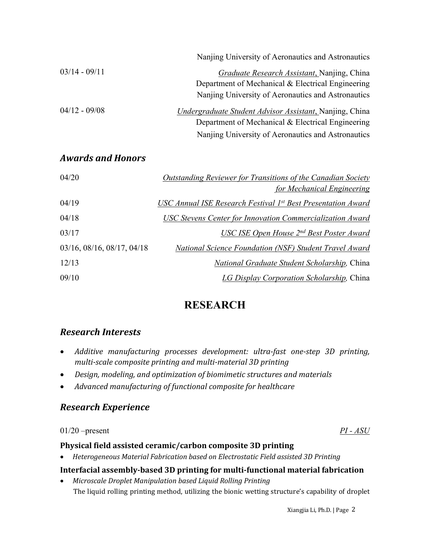|                 | Nanjing University of Aeronautics and Astronautics              |
|-----------------|-----------------------------------------------------------------|
| $03/14 - 09/11$ | <i>Graduate Research Assistant</i> , Nanjing, China             |
|                 | Department of Mechanical & Electrical Engineering               |
|                 | Nanjing University of Aeronautics and Astronautics              |
| $04/12 - 09/08$ | <i>Undergraduate Student Advisor Assistant</i> , Nanjing, China |
|                 | Department of Mechanical & Electrical Engineering               |
|                 | Nanjing University of Aeronautics and Astronautics              |

## *Awards and Honors*

| 04/20                      | <b>Outstanding Reviewer for Transitions of the Canadian Society</b> |
|----------------------------|---------------------------------------------------------------------|
|                            | for Mechanical Engineering                                          |
| 04/19                      | USC Annual ISE Research Festival 1st Best Presentation Award        |
| 04/18                      | USC Stevens Center for Innovation Commercialization Award           |
| 03/17                      | USC ISE Open House $2^{nd}$ Best Poster Award                       |
| 03/16, 08/16, 08/17, 04/18 | National Science Foundation (NSF) Student Travel Award              |
| 12/13                      | National Graduate Student Scholarship, China                        |
| 09/10                      | LG Display Corporation Scholarship, China                           |

# **RESEARCH**

## *Research Interests*

- *Additive manufacturing processes development: ultra-fast one-step 3D printing, multi-scale composite printing and multi-material 3D printing*
- *Design, modeling, and optimization of biomimetic structures and materials*
- *Advanced manufacturing of functional composite for healthcare*

## *Research Experience*

01/20 –present *PI - ASU*

## Physical field assisted ceramic/carbon composite 3D printing

• *Heterogeneous Material Fabrication based on Electrostatic Field assisted 3D Printing* 

## **Interfacial assembly-based 3D printing for multi-functional material fabrication**

• Microscale Droplet Manipulation based Liquid Rolling Printing The liquid rolling printing method, utilizing the bionic wetting structure's capability of droplet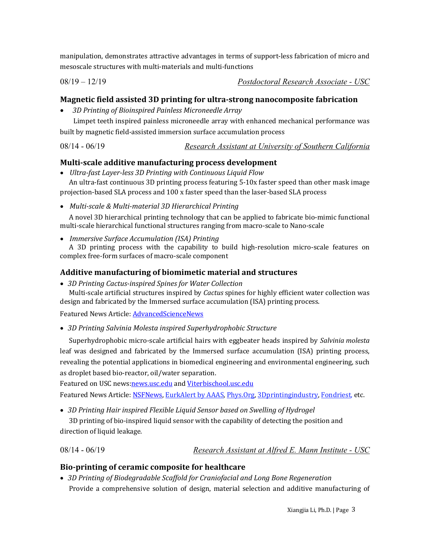manipulation, demonstrates attractive advantages in terms of support-less fabrication of micro and mesoscale structures with multi-materials and multi-functions

#### 08/19 – 12/19 *Postdoctoral Research Associate - USC*

## **Magnetic field assisted 3D printing for ultra-strong nanocomposite fabrication**

• *3D Printing of Bioinspired Painless Microneedle Array*

Limpet teeth inspired painless microneedle array with enhanced mechanical performance was built by magnetic field-assisted immersion surface accumulation process

### 08/14 - 06/19 *Research Assistant at University of Southern California*

### **Multi-scale additive manufacturing process development**

• *Ultra-fast Layer-less 3D Printing with Continuous Liquid Flow* 

An ultra-fast continuous 3D printing process featuring 5-10x faster speed than other mask image projection-based SLA process and 100 x faster speed than the laser-based SLA process

• *Multi-scale & Multi-material 3D Hierarchical Printing*

A novel 3D hierarchical printing technology that can be applied to fabricate bio-mimic functional multi-scale hierarchical functional structures ranging from macro-scale to Nano-scale

• *Immersive Surface Accumulation (ISA) Printing* 

A 3D printing process with the capability to build high-resolution micro-scale features on complex free-form surfaces of macro-scale component

### Additive manufacturing of biomimetic material and structures

• *3D Printing Cactus-inspired Spines for Water Collection* 

Multi-scale artificial structures inspired by *Cactus* spines for highly efficient water collection was design and fabricated by the Immersed surface accumulation (ISA) printing process.

Featured News Article: **AdvancedScienceNews** 

• 3D Printing Salvinia Molesta inspired Superhydrophobic Structure

Superhydrophobic micro-scale artificial hairs with eggbeater heads inspired by *Salvinia molesta* leaf was designed and fabricated by the Immersed surface accumulation (ISA) printing process, revealing the potential applications in biomedical engineering and environmental engineering, such as droplet based bio-reactor, oil/water separation.

Featured on USC news:news.usc.edu and Viterbischool.usc.edu

Featured News Article: NSFNews, EurkAlert by AAAS, Phys.Org, 3Dprintingindustry, Fondriest, etc.

• 3D Printing Hair inspired Flexible Liquid Sensor based on Swelling of Hydrogel

3D printing of bio-inspired liquid sensor with the capability of detecting the position and direction of liquid leakage.

08/14 - 06/19 *Research Assistant at Alfred E. Mann Institute - USC*

## Bio-printing of ceramic composite for healthcare

• 3D Printing of Biodegradable Scaffold for Craniofacial and Long Bone Regeneration Provide a comprehensive solution of design, material selection and additive manufacturing of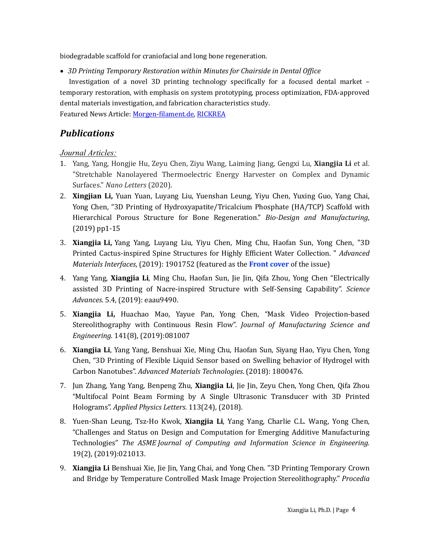biodegradable scaffold for craniofacial and long bone regeneration.

• *3D Printing Temporary Restoration within Minutes for Chairside in Dental Office* 

Investigation of a novel 3D printing technology specifically for a focused dental market  $$ temporary restoration, with emphasis on system prototyping, process optimization, FDA-approved dental materials investigation, and fabrication characteristics study.

Featured News Article: Morgen-filament.de, RICKREA

## *Publications*

### *Journal Articles:*

- 1. Yang, Yang, Hongjie Hu, Zeyu Chen, Ziyu Wang, Laiming Jiang, Gengxi Lu, **Xiangjia Li** et al. "Stretchable Nanolayered Thermoelectric Energy Harvester on Complex and Dynamic Surfaces." *Nano Letters* (2020).
- 2. **Xingjian Li,** Yuan Yuan, Luyang Liu, Yuenshan Leung, Yiyu Chen, Yuxing Guo, Yang Chai, Yong Chen, "3D Printing of Hydroxyapatite/Tricalcium Phosphate (HA/TCP) Scaffold with Hierarchical Porous Structure for Bone Regeneration." *Bio-Design and Manufacturing*,  $(2019)$  pp1-15
- 3. **Xiangjia Li,** Yang Yang, Luyang Liu, Yiyu Chen, Ming Chu, Haofan Sun, Yong Chen, "3D Printed Cactus-inspired Spine Structures for Highly Efficient Water Collection. " *Advanced Materials Interfaces,* (2019): 1901752 (featured as the **Front cover** of the issue)
- 4. Yang Yang, **Xiangjia Li**, Ming Chu, Haofan Sun, Jie Jin, Qifa Zhou, Yong Chen "Electrically assisted 3D Printing of Nacre-inspired Structure with Self-Sensing Capability". *Science Advances*. 5.4, (2019): eaau9490.
- 5. **Xiangjia Li,** Huachao Mao, Yayue Pan, Yong Chen, "Mask Video Projection-based Stereolithography with Continuous Resin Flow". *Journal of Manufacturing Science and Engineering.* 141(8), (2019):081007
- 6. **Xiangjia Li**, Yang Yang, Benshuai Xie, Ming Chu, Haofan Sun, Siyang Hao, Yiyu Chen, Yong Chen, "3D Printing of Flexible Liquid Sensor based on Swelling behavior of Hydrogel with Carbon Nanotubes". *Advanced Materials Technologies*. (2018): 1800476.
- 7. Jun Zhang, Yang Yang, Benpeng Zhu, **Xiangjia Li**, Jie Jin, Zeyu Chen, Yong Chen, Qifa Zhou "Multifocal Point Beam Forming by A Single Ultrasonic Transducer with 3D Printed Holograms". *Applied Physics Letters*. 113(24), (2018).
- 8. Yuen-Shan Leung, Tsz-Ho Kwok, **Xiangjia Li**, Yang Yang, Charlie C.L. Wang, Yong Chen, "Challenges and Status on Design and Computation for Emerging Additive Manufacturing Technologies" *The ASME Journal of Computing and Information Science in Engineering.* 19(2), (2019):021013.
- 9. **Xiangjia Li** Benshuai Xie, Jie Jin, Yang Chai, and Yong Chen. "3D Printing Temporary Crown and Bridge by Temperature Controlled Mask Image Projection Stereolithography." *Procedia*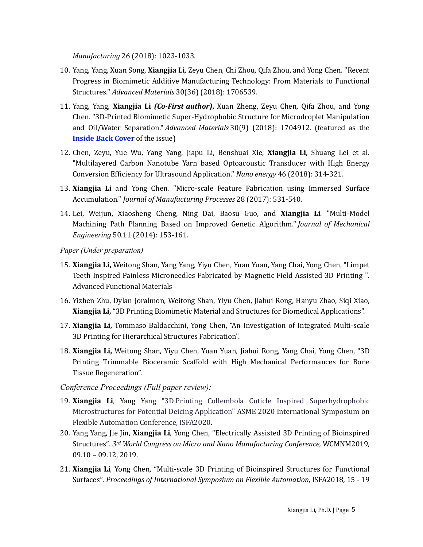*Manufacturing* 26 (2018): 1023-1033.

- 10. Yang, Yang, Xuan Song, **Xiangjia Li**, Zeyu Chen, Chi Zhou, Qifa Zhou, and Yong Chen. "Recent Progress in Biomimetic Additive Manufacturing Technology: From Materials to Functional Structures." *Advanced Materials* 30(36) (2018): 1706539.
- 11. Yang, Yang, Xiangjia Li *(Co-First author)*, Xuan Zheng, Zeyu Chen, Qifa Zhou, and Yong Chen. "3D-Printed Biomimetic Super-Hydrophobic Structure for Microdroplet Manipulation and Oil/Water Separation." *Advanced Materials* 30(9) (2018): 1704912. (featured as the **Inside Back Cover** of the issue)
- 12. Chen, Zeyu, Yue Wu, Yang Yang, Jiapu Li, Benshuai Xie, **Xiangjia Li**, Shuang Lei et al. "Multilayered Carbon Nanotube Yarn based Optoacoustic Transducer with High Energy Conversion Efficiency for Ultrasound Application." *Nano energy* 46 (2018): 314-321.
- 13. **Xiangjia Li** and Yong Chen. "Micro-scale Feature Fabrication using Immersed Surface Accumulation." *Journal of Manufacturing Processes* 28 (2017): 531-540.
- 14. Lei, Weijun, Xiaosheng Cheng, Ning Dai, Baosu Guo, and **Xiangjia Li**. "Multi-Model Machining Path Planning Based on Improved Genetic Algorithm." *Journal of Mechanical Engineering* 50.11 (2014): 153-161.

*Paper (Under preparation)*

- 15. **Xiangjia Li,** Weitong Shan, Yang Yang, Yiyu Chen, Yuan Yuan, Yang Chai, Yong Chen, "Limpet Teeth Inspired Painless Microneedles Fabricated by Magnetic Field Assisted 3D Printing ". Advanced Functional Materials
- 16. Yizhen Zhu, Dylan Joralmon, Weitong Shan, Yiyu Chen, Jiahui Rong, Hanyu Zhao, Sigi Xiao, **Xiangjia Li,** "3D Printing Biomimetic Material and Structures for Biomedical Applications".
- 17. **Xiangjia Li,** Tommaso Baldacchini, Yong Chen, "An Investigation of Integrated Multi-scale 3D Printing for Hierarchical Structures Fabrication".
- 18. **Xiangjia Li,** Weitong Shan, Yiyu Chen, Yuan Yuan, Jiahui Rong, Yang Chai, Yong Chen, "3D Printing Trimmable Bioceramic Scaffold with High Mechanical Performances for Bone Tissue Regeneration".

#### *Conference Proceedings (Full paper review):*

- 19. **Xiangjia Li**, Yang Yang "3D Printing Collembola Cuticle Inspired Superhydrophobic Microstructures for Potential Deicing Application" ASME 2020 International Symposium on Flexible Automation Conference, ISFA2020.
- 20. Yang Yang, Jie Jin, **Xiangjia Li**, Yong Chen, "Electrically Assisted 3D Printing of Bioinspired Structures". 3rd World Congress on Micro and Nano Manufacturing Conference, WCMNM2019, 09.10 – 09.12, 2019.
- 21. **Xiangjia Li**, Yong Chen, "Multi-scale 3D Printing of Bioinspired Structures for Functional Surfaces". *Proceedings of International Symposium on Flexible Automation, ISFA2018, 15 - 19*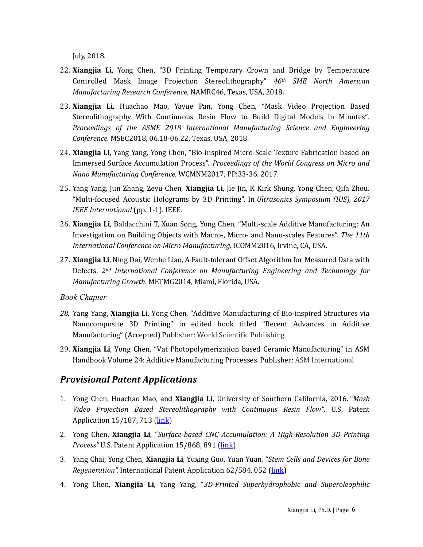July, 2018.

- 22. **Xiangjia Li**, Yong Chen, "3D Printing Temporary Crown and Bridge by Temperature Controlled Mask Image Projection Stereolithography" *46th SME North American Manufacturing Research Conference*, NAMRC46, Texas, USA, 2018.
- 23. Xiangjia Li, Huachao Mao, Yayue Pan, Yong Chen, "Mask Video Projection Based Stereolithography With Continuous Resin Flow to Build Digital Models in Minutes". Proceedings of the ASME 2018 International Manufacturing Science and Engineering *Conference.* MSEC2018, 06.18-06.22, Texas, USA, 2018.
- 24. **Xiangjia Li**, Yang Yang, Yong Chen, "Bio-inspired Micro-Scale Texture Fabrication based on Immersed Surface Accumulation Process". *Proceedings of the World Congress on Micro and Nano Manufacturing Conference*, WCMNM2017, PP:33-36, 2017.
- 25. Yang Yang, Jun Zhang, Zeyu Chen, **Xiangjia Li**, Jie Jin, K Kirk Shung, Yong Chen, Qifa Zhou. "Multi-focused Acoustic Holograms by 3D Printing". In *Ultrasonics Symposium (IUS), 2017 IEEE International* (pp. 1-1). IEEE.
- 26. **Xiangjia Li**, Baldacchini T, Xuan Song, Yong Chen, "Multi-scale Additive Manufacturing: An Investigation on Building Objects with Macro-, Micro- and Nano-scales Features". The 11th *International Conference on Micro Manufacturing.* ICOMM2016, Irvine, CA, USA.
- 27. **Xiangjia Li**, Ning Dai, Wenhe Liao, A Fault-tolerant Offset Algorithm for Measured Data with Defects. 2<sup>nd</sup> International Conference on Manufacturing Engineering and Technology for *Manufacturing Growth. METMG2014, Miami, Florida, USA.*

#### *Book Chapter*

- 28. Yang Yang, Xiangjia Li, Yong Chen, "Additive Manufacturing of Bio-inspired Structures via Nanocomposite 3D Printing" in edited book titled "Recent Advances in Additive Manufacturing" (Accepted) Publisher: World Scientific Publishing
- 29. Xiangjia Li, Yong Chen, "Vat Photopolymerization based Ceramic Manufacturing" in ASM Handbook Volume 24: Additive Manufacturing Processes. Publisher: ASM International

## *Provisional Patent Applications*

- 1. Yong Chen, Huachao Mao, and **Xiangjia Li**, University of Southern California, 2016. "*Mask Video Projection Based Stereolithography with Continuous Resin Flow"*. U.S. Patent Application  $15/187$ , 713 ( $\overline{link}$ )
- 2. Yong Chen, **Xiangjia Li**, "*Surface-based CNC Accumulation:* A High-Resolution 3D Printing *Process"* U.S. Patent Application 15/868, 891 (link)
- 3. Yang Chai, Yong Chen, **Xiangjia Li**, Yuxing Guo, Yuan Yuan. "*Stem Cells and Devices for Bone Regeneration".* International Patent Application 62/584, 052 (link)
- 4. Yong Chen, **Xiangjia Li**, Yang Yang, "*3D-Printed Superhydrophobic and Superoleophilic*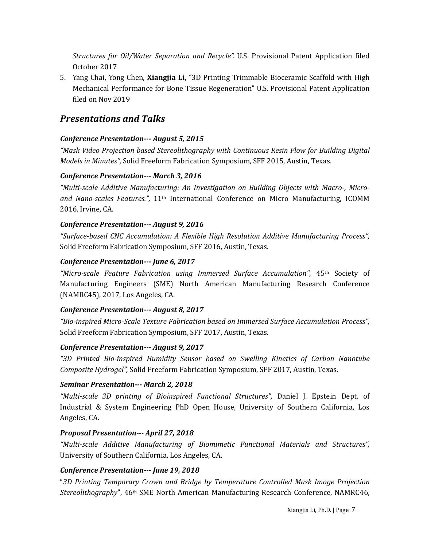*Structures for Oil/Water Separation and Recycle".* U.S. Provisional Patent Application filed October 2017

5. Yang Chai, Yong Chen, **Xiangjia Li,** "3D Printing Trimmable Bioceramic Scaffold with High Mechanical Performance for Bone Tissue Regeneration" U.S. Provisional Patent Application filed on Nov 2019

## *Presentations and Talks*

#### *Conference Presentation--- August 5, 2015*

*"Mask Video Projection based Stereolithography with Continuous Resin Flow for Building Digital Models in Minutes"*, Solid Freeform Fabrication Symposium, SFF 2015, Austin, Texas.

#### *Conference Presentation--- March 3, 2016*

*"Multi-scale Additive Manufacturing: An Investigation on Building Objects with Macro-, Micro*and Nano-scales Features.", 11<sup>th</sup> International Conference on Micro Manufacturing, ICOMM 2016, Irvine, CA.

#### *Conference Presentation--- August 9, 2016*

*"Surface-based CNC Accumulation: A Flexible High Resolution Additive Manufacturing Process",*  Solid Freeform Fabrication Symposium, SFF 2016, Austin, Texas.

#### *Conference Presentation--- June 6, 2017*

*"Micro-scale Feature Fabrication using Immersed Surface Accumulation"*, 45th Society of Manufacturing Engineers (SME) North American Manufacturing Research Conference (NAMRC45), 2017, Los Angeles, CA.

#### *Conference Presentation--- August 8, 2017*

*"Bio-inspired Micro-Scale Texture Fabrication based on Immersed Surface Accumulation Process",*  Solid Freeform Fabrication Symposium, SFF 2017, Austin, Texas.

#### *Conference Presentation--- August 9, 2017*

*"3D Printed Bio-inspired Humidity Sensor based on Swelling Kinetics of Carbon Nanotube Composite Hydrogel"*, Solid Freeform Fabrication Symposium, SFF 2017, Austin, Texas.

#### *Seminar Presentation--- March 2, 2018*

*"Multi-scale 3D printing of Bioinspired Functional Structures",* Daniel J. Epstein Dept. of Industrial & System Engineering PhD Open House, University of Southern California, Los Angeles, CA.

#### *Proposal Presentation--- April 27, 2018*

*"Multi-scale Additive Manufacturing of Biomimetic Functional Materials and Structures",*  University of Southern California, Los Angeles, CA.

#### *Conference Presentation--- June 19, 2018*

"*3D Printing Temporary Crown and Bridge by Temperature Controlled Mask Image Projection Stereolithography*", 46<sup>th</sup> SME North American Manufacturing Research Conference, NAMRC46,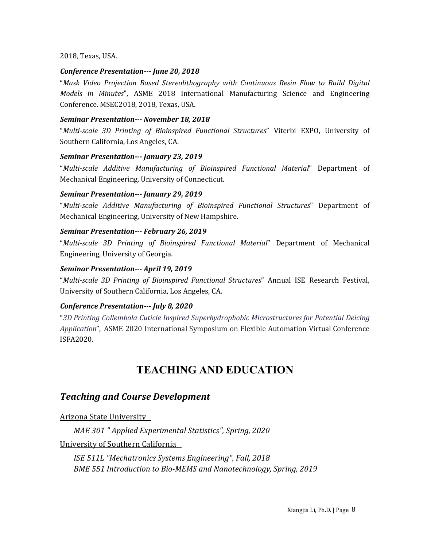2018, Texas, USA.

#### *Conference Presentation--- June 20, 2018*

"Mask Video Projection Based Stereolithography with Continuous Resin Flow to Build Digital *Models in Minutes*", ASME 2018 International Manufacturing Science and Engineering Conference. MSEC2018, 2018, Texas, USA.

#### *Seminar Presentation--- November 18, 2018*

"*Multi-scale 3D Printing of Bioinspired Functional Structures*" Viterbi EXPO, University of Southern California, Los Angeles, CA.

#### *Seminar Presentation--- January 23, 2019*

"*Multi-scale Additive Manufacturing of Bioinspired Functional Material*" Department of Mechanical Engineering, University of Connecticut.

#### *Seminar Presentation--- January 29, 2019*

"*Multi-scale Additive Manufacturing of Bioinspired Functional Structures*" Department of Mechanical Engineering, University of New Hampshire.

#### *Seminar Presentation--- February 26, 2019*

"*Multi-scale 3D Printing of Bioinspired Functional Material*" Department of Mechanical Engineering, University of Georgia.

#### *Seminar Presentation--- April 19, 2019*

"*Multi-scale 3D Printing of Bioinspired Functional Structures*" Annual ISE Research Festival, University of Southern California, Los Angeles, CA.

#### *Conference Presentation--- July 8, 2020*

"*3D Printing Collembola Cuticle Inspired Superhydrophobic Microstructures for Potential Deicing Application*", ASME 2020 International Symposium on Flexible Automation Virtual Conference ISFA2020. 

# **TEACHING AND EDUCATION**

## *Teaching and Course Development*

Arizona State University 

 *MAE 301 " Applied Experimental Statistics", Spring, 2020*

University of Southern California

 *ISE 511L "Mechatronics Systems Engineering", Fall, 2018* **BME 551 Introduction to Bio-MEMS and Nanotechnology, Spring, 2019**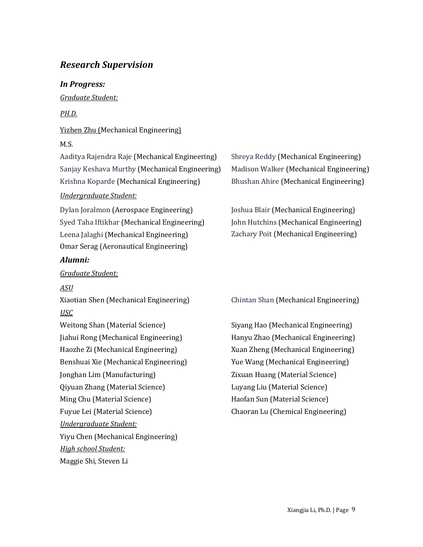## *Research Supervision*

### *In Progress:*

*Graduate Student:*

## *PH.D.*

## Yizhen Zhu (Mechanical Engineering)

## M.S.

Aaditya Rajendra Raje (Mechanical Engineering) Shreya Reddy (Mechanical Engineering) Sanjay Keshava Murthy (Mechanical Engineering) Madison Walker (Mechanical Engineering) Krishna Koparde (Mechanical Engineering) Bhushan Ahire (Mechanical Engineering)

## *Undergraduate Student:*

Dylan Joralmon (Aerospace Engineering) Joshua Blair (Mechanical Engineering) Syed Taha Iftikhar (Mechanical Engineering) John Hutchins (Mechanical Engineering) Leena Jalaghi (Mechanical Engineering) Zachary Poit (Mechanical Engineering) Omar Serag (Aeronautical Engineering)

### *Alumni:*

### *Graduate Student:*

## *ASU*

Xiaotian Shen (Mechanical Engineering) Chintan Shan (Mechanical Engineering) *USC*

Weitong Shan (Material Science) Siyang Hao (Mechanical Engineering) Jiahui Rong (Mechanical Engineering) Hanyu Zhao (Mechanical Engineering) Haozhe Zi (Mechanical Engineering) Xuan Zheng (Mechanical Engineering) Benshuai Xie (Mechanical Engineering) Yue Wang (Mechanical Engineering) Jonghan Lim (Manufacturing)  $\hspace{1cm}$  Zixuan Huang (Material Science) Qiyuan Zhang (Material Science) Ciyuan Zhang (Material Science) Ming Chu (Material Science) The Material Science Haofan Sun (Material Science) Fuyue Lei (Material Science) The Chaoran Lu (Chemical Engineering) *Undergraduate Student:* Yiyu Chen (Mechanical Engineering) *High school Student:* Maggie Shi, Steven Li